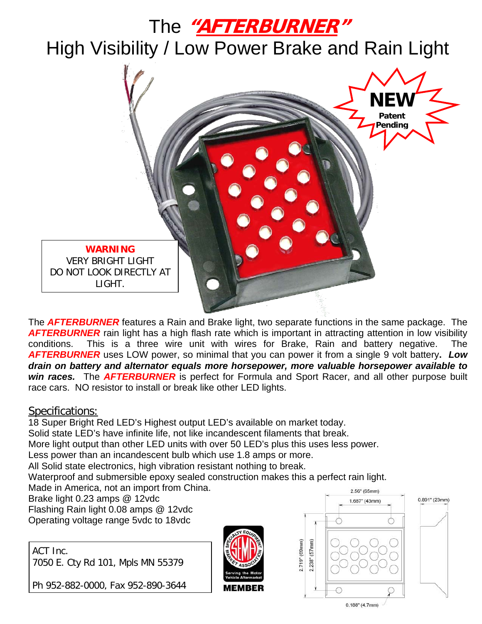## The **"AFTERBURNER"**

High Visibility / Low Power Brake and Rain Light



The *AFTERBURNER* features a Rain and Brake light, two separate functions in the same package. The **AFTERBURNER** rain light has a high flash rate which is important in attracting attention in low visibility conditions. This is a three wire unit with wires for Brake, Rain and battery negative. The *AFTERBURNER* uses LOW power, so minimal that you can power it from a single 9 volt battery**.** *Low drain on battery and alternator equals more horsepower, more valuable horsepower available to win races.* The *AFTERBURNER* is perfect for Formula and Sport Racer, and all other purpose built race cars. NO resistor to install or break like other LED lights.

#### Specifications:

18 Super Bright Red LED's Highest output LED's available on market today. Solid state LED's have infinite life, not like incandescent filaments that break. More light output than other LED units with over 50 LED's plus this uses less power. Less power than an incandescent bulb which use 1.8 amps or more. All Solid state electronics, high vibration resistant nothing to break. Waterproof and submersible epoxy sealed construction makes this a perfect rain light. Made in America, not an import from China. 2.56" (65mm) Brake light 0.23 amps @ 12vdc 1.687" (43mm) Flashing Rain light 0.08 amps @ 12vdc Operating voltage range 5vdc to 18vdc

ACT Inc. 7050 E. Cty Rd 101, Mpls MN 55379

Ph 952-882-0000, Fax 952-890-3644



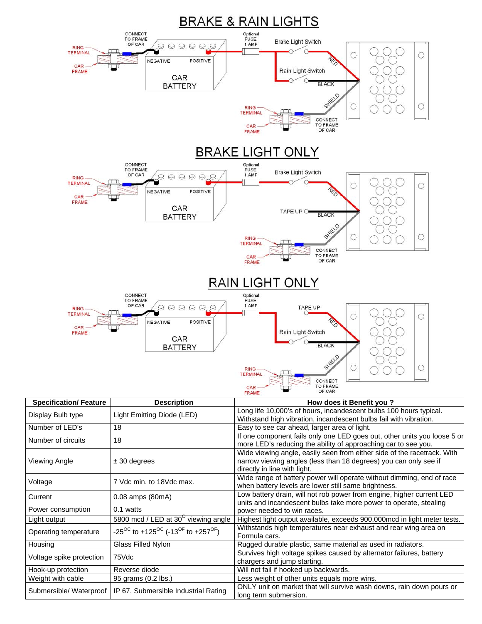

| Current                  | 0.08 amps (80mA)                                                       | Low battery drain, will not rob power from engine, higher current LED<br>units and incandescent bulbs take more power to operate, stealing |
|--------------------------|------------------------------------------------------------------------|--------------------------------------------------------------------------------------------------------------------------------------------|
| Power consumption        | $0.1$ watts                                                            | power needed to win races.                                                                                                                 |
| Light output             | 5800 mcd / LED at 30 <sup>°</sup> viewing angle                        | Highest light output available, exceeds 900,000mcd in light meter tests.                                                                   |
| Operating temperature    | $-25^{\circ}$ to $+125^{\circ}$ (-13 <sup>oF</sup> to $+257^{\circ}$ ) | Withstands high temperatures near exhaust and rear wing area on<br>Formula cars.                                                           |
| Housing                  | Glass Filled Nylon                                                     | Rugged durable plastic, same material as used in radiators.                                                                                |
| Voltage spike protection | 75Vdc                                                                  | Survives high voltage spikes caused by alternator failures, battery<br>chargers and jump starting.                                         |
| Hook-up protection       | Reverse diode                                                          | Will not fail if hooked up backwards.                                                                                                      |
| Weight with cable        | 95 grams (0.2 lbs.)                                                    | Less weight of other units equals more wins.                                                                                               |
| Submersible/ Waterproof  | IP 67, Submersible Industrial Rating                                   | ONLY unit on market that will survive wash downs, rain down pours or<br>long term submersion.                                              |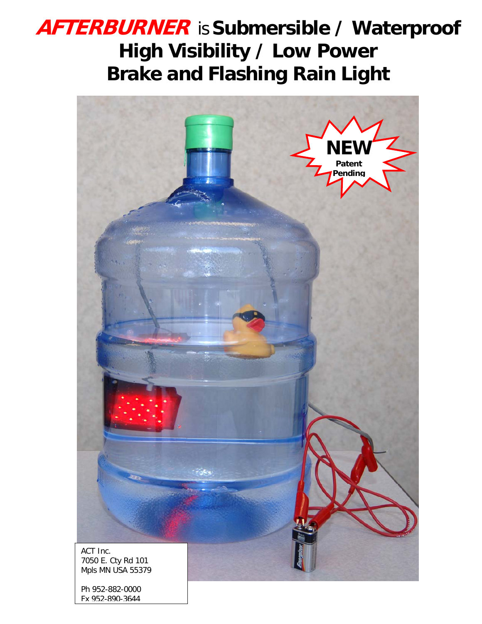# **AFTERBURNER** is**Submersible / Waterproof High Visibility / Low Power Brake and Flashing Rain Light**



Ph 952-882-0000 Fx 952-890-3644